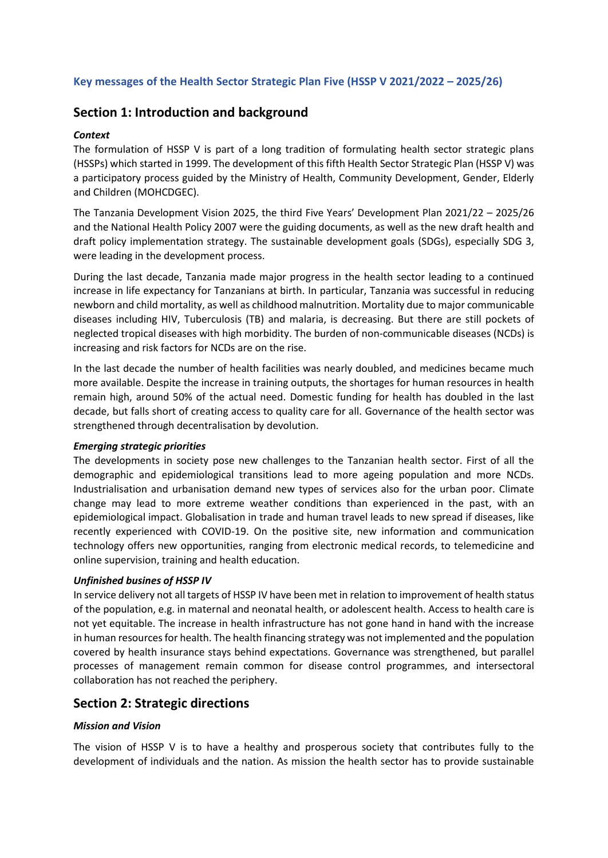# **Key messages of the Health Sector Strategic Plan Five (HSSP V 2021/2022 – 2025/26)**

# **Section 1: Introduction and background**

# *Context*

The formulation of HSSP V is part of a long tradition of formulating health sector strategic plans (HSSPs) which started in 1999. The development of this fifth Health Sector Strategic Plan (HSSP V) was a participatory process guided by the Ministry of Health, Community Development, Gender, Elderly and Children (MOHCDGEC).

The Tanzania Development Vision 2025, the third Five Years' Development Plan 2021/22 – 2025/26 and the National Health Policy 2007 were the guiding documents, as well as the new draft health and draft policy implementation strategy. The sustainable development goals (SDGs), especially SDG 3, were leading in the development process.

During the last decade, Tanzania made major progress in the health sector leading to a continued increase in life expectancy for Tanzanians at birth. In particular, Tanzania was successful in reducing newborn and child mortality, as well as childhood malnutrition. Mortality due to major communicable diseases including HIV, Tuberculosis (TB) and malaria, is decreasing. But there are still pockets of neglected tropical diseases with high morbidity. The burden of non-communicable diseases (NCDs) is increasing and risk factors for NCDs are on the rise.

In the last decade the number of health facilities was nearly doubled, and medicines became much more available. Despite the increase in training outputs, the shortages for human resources in health remain high, around 50% of the actual need. Domestic funding for health has doubled in the last decade, but falls short of creating access to quality care for all. Governance of the health sector was strengthened through decentralisation by devolution.

# *Emerging strategic priorities*

The developments in society pose new challenges to the Tanzanian health sector. First of all the demographic and epidemiological transitions lead to more ageing population and more NCDs. Industrialisation and urbanisation demand new types of services also for the urban poor. Climate change may lead to more extreme weather conditions than experienced in the past, with an epidemiological impact. Globalisation in trade and human travel leads to new spread if diseases, like recently experienced with COVID-19. On the positive site, new information and communication technology offers new opportunities, ranging from electronic medical records, to telemedicine and online supervision, training and health education.

# *Unfinished busines of HSSP IV*

In service delivery not all targets of HSSP IV have been met in relation to improvement of health status of the population, e.g. in maternal and neonatal health, or adolescent health. Access to health care is not yet equitable. The increase in health infrastructure has not gone hand in hand with the increase in human resources for health. The health financing strategy was not implemented and the population covered by health insurance stays behind expectations. Governance was strengthened, but parallel processes of management remain common for disease control programmes, and intersectoral collaboration has not reached the periphery.

# **Section 2: Strategic directions**

# *Mission and Vision*

The vision of HSSP V is to have a healthy and prosperous society that contributes fully to the development of individuals and the nation. As mission the health sector has to provide sustainable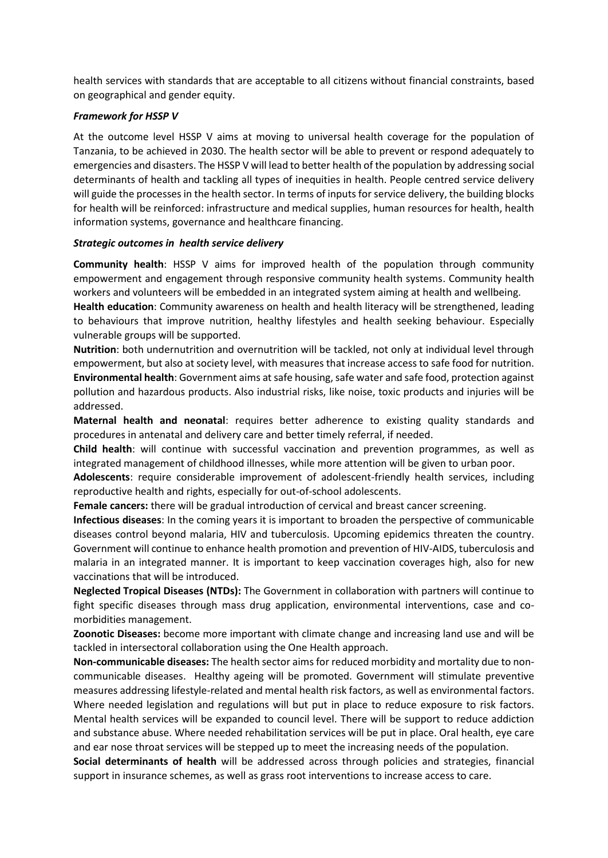health services with standards that are acceptable to all citizens without financial constraints, based on geographical and gender equity.

## *Framework for HSSP V*

At the outcome level HSSP V aims at moving to universal health coverage for the population of Tanzania, to be achieved in 2030. The health sector will be able to prevent or respond adequately to emergencies and disasters. The HSSP V will lead to better health of the population by addressing social determinants of health and tackling all types of inequities in health. People centred service delivery will guide the processes in the health sector. In terms of inputs for service delivery, the building blocks for health will be reinforced: infrastructure and medical supplies, human resources for health, health information systems, governance and healthcare financing.

## *Strategic outcomes in health service delivery*

**Community health**: HSSP V aims for improved health of the population through community empowerment and engagement through responsive community health systems. Community health workers and volunteers will be embedded in an integrated system aiming at health and wellbeing.

**Health education**: Community awareness on health and health literacy will be strengthened, leading to behaviours that improve nutrition, healthy lifestyles and health seeking behaviour. Especially vulnerable groups will be supported.

**Nutrition**: both undernutrition and overnutrition will be tackled, not only at individual level through empowerment, but also at society level, with measures that increase access to safe food for nutrition. **Environmental health**: Government aims atsafe housing, safe water and safe food, protection against pollution and hazardous products. Also industrial risks, like noise, toxic products and injuries will be addressed.

**Maternal health and neonatal**: requires better adherence to existing quality standards and procedures in antenatal and delivery care and better timely referral, if needed.

**Child health**: will continue with successful vaccination and prevention programmes, as well as integrated management of childhood illnesses, while more attention will be given to urban poor.

**Adolescents**: require considerable improvement of adolescent-friendly health services, including reproductive health and rights, especially for out-of-school adolescents.

**Female cancers:** there will be gradual introduction of cervical and breast cancer screening.

**Infectious diseases**: In the coming years it is important to broaden the perspective of communicable diseases control beyond malaria, HIV and tuberculosis. Upcoming epidemics threaten the country. Government will continue to enhance health promotion and prevention of HIV-AIDS, tuberculosis and malaria in an integrated manner. It is important to keep vaccination coverages high, also for new vaccinations that will be introduced.

**Neglected Tropical Diseases (NTDs):** The Government in collaboration with partners will continue to fight specific diseases through mass drug application, environmental interventions, case and comorbidities management.

**Zoonotic Diseases:** become more important with climate change and increasing land use and will be tackled in intersectoral collaboration using the One Health approach.

**Non-communicable diseases:** The health sector aims for reduced morbidity and mortality due to noncommunicable diseases. Healthy ageing will be promoted. Government will stimulate preventive measures addressing lifestyle-related and mental health risk factors, as well as environmental factors. Where needed legislation and regulations will but put in place to reduce exposure to risk factors. Mental health services will be expanded to council level. There will be support to reduce addiction and substance abuse. Where needed rehabilitation services will be put in place. Oral health, eye care and ear nose throat services will be stepped up to meet the increasing needs of the population.

**Social determinants of health** will be addressed across through policies and strategies, financial support in insurance schemes, as well as grass root interventions to increase access to care.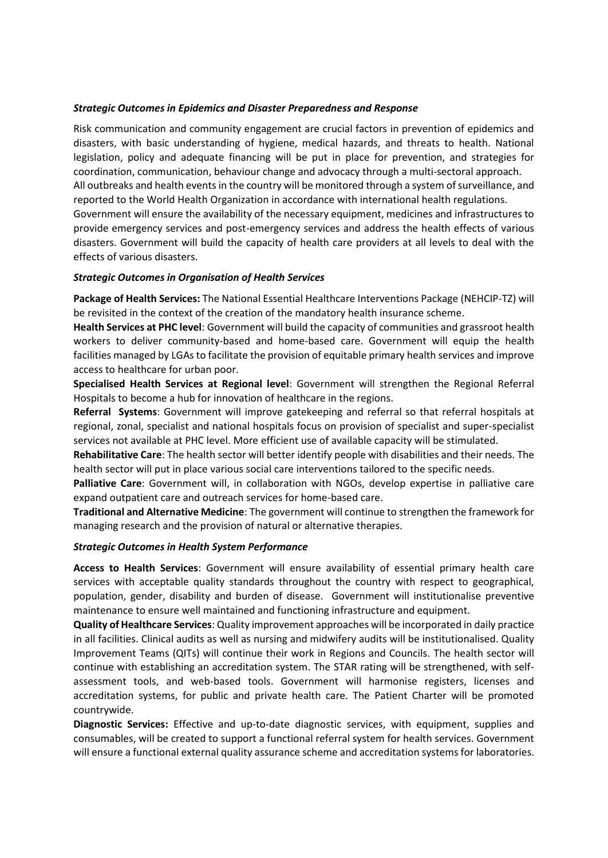## *Strategic Outcomes in Epidemics and Disaster Preparedness and Response*

Risk communication and community engagement are crucial factors in prevention of epidemics and disasters, with basic understanding of hygiene, medical hazards, and threats to health. National legislation, policy and adequate financing will be put in place for prevention, and strategies for coordination, communication, behaviour change and advocacy through a multi-sectoral approach. All outbreaks and health events in the country will be monitored through a system of surveillance, and reported to the World Health Organization in accordance with international health regulations. Government will ensure the availability of the necessary equipment, medicines and infrastructures to provide emergency services and post-emergency services and address the health effects of various disasters. Government will build the capacity of health care providers at all levels to deal with the effects of various disasters.

#### *Strategic Outcomes in Organisation of Health Services*

**Package of Health Services:** The National Essential Healthcare Interventions Package (NEHCIP-TZ) will be revisited in the context of the creation of the mandatory health insurance scheme.

**Health Services at PHC level**: Government will build the capacity of communities and grassroot health workers to deliver community-based and home-based care. Government will equip the health facilities managed by LGAs to facilitate the provision of equitable primary health services and improve access to healthcare for urban poor.

**Specialised Health Services at Regional level**: Government will strengthen the Regional Referral Hospitals to become a hub for innovation of healthcare in the regions.

**Referral Systems**: Government will improve gatekeeping and referral so that referral hospitals at regional, zonal, specialist and national hospitals focus on provision of specialist and super-specialist services not available at PHC level. More efficient use of available capacity will be stimulated.

**Rehabilitative Care**: The health sector will better identify people with disabilities and their needs. The health sector will put in place various social care interventions tailored to the specific needs.

**Palliative Care**: Government will, in collaboration with NGOs, develop expertise in palliative care expand outpatient care and outreach services for home-based care.

**Traditional and Alternative Medicine**: The government will continue to strengthen the framework for managing research and the provision of natural or alternative therapies.

#### *Strategic Outcomes in Health System Performance*

**Access to Health Services**: Government will ensure availability of essential primary health care services with acceptable quality standards throughout the country with respect to geographical, population, gender, disability and burden of disease. Government will institutionalise preventive maintenance to ensure well maintained and functioning infrastructure and equipment.

**Quality of Healthcare Services**: Quality improvement approaches will be incorporated in daily practice in all facilities. Clinical audits as well as nursing and midwifery audits will be institutionalised. Quality Improvement Teams (QITs) will continue their work in Regions and Councils. The health sector will continue with establishing an accreditation system. The STAR rating will be strengthened, with selfassessment tools, and web-based tools. Government will harmonise registers, licenses and accreditation systems, for public and private health care. The Patient Charter will be promoted countrywide.

**Diagnostic Services:** Effective and up-to-date diagnostic services, with equipment, supplies and consumables, will be created to support a functional referral system for health services. Government will ensure a functional external quality assurance scheme and accreditation systems for laboratories.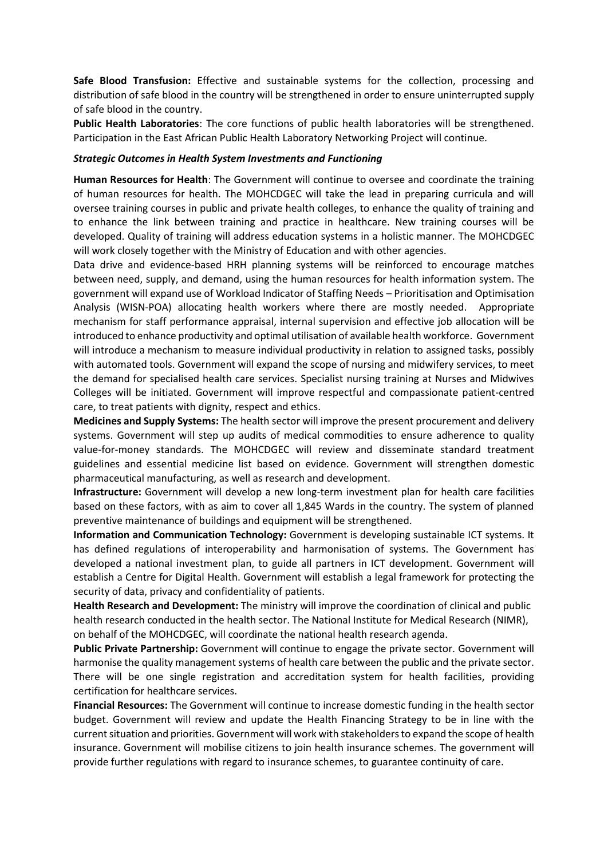**Safe Blood Transfusion:** Effective and sustainable systems for the collection, processing and distribution of safe blood in the country will be strengthened in order to ensure uninterrupted supply of safe blood in the country.

**Public Health Laboratories**: The core functions of public health laboratories will be strengthened. Participation in the East African Public Health Laboratory Networking Project will continue.

#### *Strategic Outcomes in Health System Investments and Functioning*

**Human Resources for Health**: The Government will continue to oversee and coordinate the training of human resources for health. The MOHCDGEC will take the lead in preparing curricula and will oversee training courses in public and private health colleges, to enhance the quality of training and to enhance the link between training and practice in healthcare. New training courses will be developed. Quality of training will address education systems in a holistic manner. The MOHCDGEC will work closely together with the Ministry of Education and with other agencies.

Data drive and evidence-based HRH planning systems will be reinforced to encourage matches between need, supply, and demand, using the human resources for health information system. The government will expand use of Workload Indicator of Staffing Needs – Prioritisation and Optimisation Analysis (WISN-POA) allocating health workers where there are mostly needed. Appropriate mechanism for staff performance appraisal, internal supervision and effective job allocation will be introduced to enhance productivity and optimal utilisation of available health workforce. Government will introduce a mechanism to measure individual productivity in relation to assigned tasks, possibly with automated tools. Government will expand the scope of nursing and midwifery services, to meet the demand for specialised health care services. Specialist nursing training at Nurses and Midwives Colleges will be initiated. Government will improve respectful and compassionate patient-centred care, to treat patients with dignity, respect and ethics.

**Medicines and Supply Systems:** The health sector will improve the present procurement and delivery systems. Government will step up audits of medical commodities to ensure adherence to quality value-for-money standards. The MOHCDGEC will review and disseminate standard treatment guidelines and essential medicine list based on evidence. Government will strengthen domestic pharmaceutical manufacturing, as well as research and development.

**Infrastructure:** Government will develop a new long-term investment plan for health care facilities based on these factors, with as aim to cover all 1,845 Wards in the country. The system of planned preventive maintenance of buildings and equipment will be strengthened.

**Information and Communication Technology:** Government is developing sustainable ICT systems. It has defined regulations of interoperability and harmonisation of systems. The Government has developed a national investment plan, to guide all partners in ICT development. Government will establish a Centre for Digital Health. Government will establish a legal framework for protecting the security of data, privacy and confidentiality of patients.

**Health Research and Development:** The ministry will improve the coordination of clinical and public health research conducted in the health sector. The National Institute for Medical Research (NIMR), on behalf of the MOHCDGEC, will coordinate the national health research agenda.

**Public Private Partnership:** Government will continue to engage the private sector. Government will harmonise the quality management systems of health care between the public and the private sector. There will be one single registration and accreditation system for health facilities, providing certification for healthcare services.

**Financial Resources:** The Government will continue to increase domestic funding in the health sector budget. Government will review and update the Health Financing Strategy to be in line with the current situation and priorities. Government will work with stakeholders to expand the scope of health insurance. Government will mobilise citizens to join health insurance schemes. The government will provide further regulations with regard to insurance schemes, to guarantee continuity of care.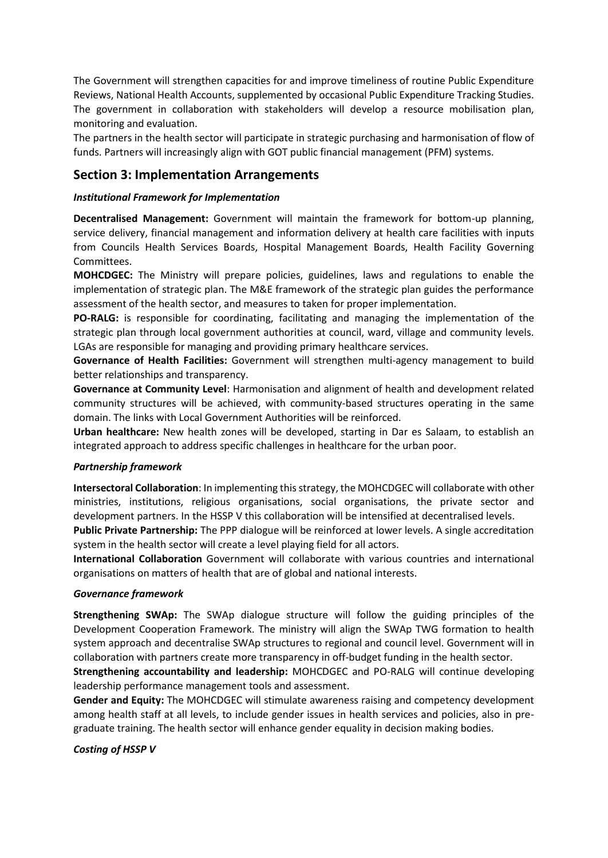The Government will strengthen capacities for and improve timeliness of routine Public Expenditure Reviews, National Health Accounts, supplemented by occasional Public Expenditure Tracking Studies. The government in collaboration with stakeholders will develop a resource mobilisation plan, monitoring and evaluation.

The partners in the health sector will participate in strategic purchasing and harmonisation of flow of funds. Partners will increasingly align with GOT public financial management (PFM) systems.

# **Section 3: Implementation Arrangements**

## *Institutional Framework for Implementation*

**Decentralised Management:** Government will maintain the framework for bottom-up planning, service delivery, financial management and information delivery at health care facilities with inputs from Councils Health Services Boards, Hospital Management Boards, Health Facility Governing Committees.

**MOHCDGEC:** The Ministry will prepare policies, guidelines, laws and regulations to enable the implementation of strategic plan. The M&E framework of the strategic plan guides the performance assessment of the health sector, and measures to taken for proper implementation.

**PO-RALG:** is responsible for coordinating, facilitating and managing the implementation of the strategic plan through local government authorities at council, ward, village and community levels. LGAs are responsible for managing and providing primary healthcare services.

**Governance of Health Facilities:** Government will strengthen multi-agency management to build better relationships and transparency.

**Governance at Community Level**: Harmonisation and alignment of health and development related community structures will be achieved, with community-based structures operating in the same domain. The links with Local Government Authorities will be reinforced.

**Urban healthcare:** New health zones will be developed, starting in Dar es Salaam, to establish an integrated approach to address specific challenges in healthcare for the urban poor.

## *Partnership framework*

**Intersectoral Collaboration**: In implementing this strategy, the MOHCDGEC will collaborate with other ministries, institutions, religious organisations, social organisations, the private sector and development partners. In the HSSP V this collaboration will be intensified at decentralised levels.

**Public Private Partnership:** The PPP dialogue will be reinforced at lower levels. A single accreditation system in the health sector will create a level playing field for all actors.

**International Collaboration** Government will collaborate with various countries and international organisations on matters of health that are of global and national interests.

## *Governance framework*

**Strengthening SWAp:** The SWAp dialogue structure will follow the guiding principles of the Development Cooperation Framework. The ministry will align the SWAp TWG formation to health system approach and decentralise SWAp structures to regional and council level. Government will in collaboration with partners create more transparency in off-budget funding in the health sector.

**Strengthening accountability and leadership:** MOHCDGEC and PO-RALG will continue developing leadership performance management tools and assessment.

**Gender and Equity:** The MOHCDGEC will stimulate awareness raising and competency development among health staff at all levels, to include gender issues in health services and policies, also in pregraduate training. The health sector will enhance gender equality in decision making bodies.

## *Costing of HSSP V*